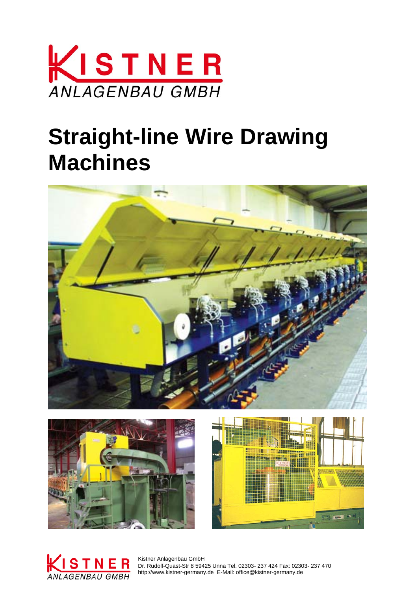

# **Straight-line Wire Drawing Machines**









 Dr. Rudolf-Quast-Str 8 59425 Unna Tel. 02303- 237 424 Fax: 02303- 237 470 http://www.kistner-germany.de E-Mail: office@kistner-germany.de